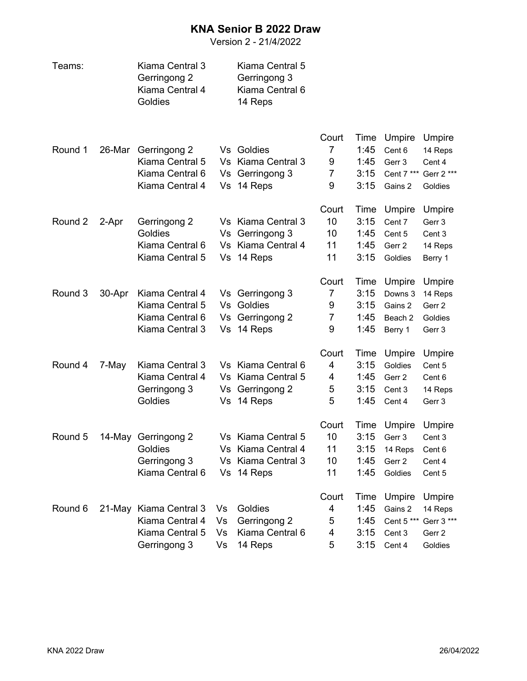## **KNA Senior B 2022 Draw**

Version 2 - 21/4/2022

| Teams:  |        | Kiama Central 3<br>Gerringong 2<br>Kiama Central 4<br>Goldies |    | Kiama Central 5<br>Gerringong 3<br>Kiama Central 6<br>14 Reps |                |      |            |            |
|---------|--------|---------------------------------------------------------------|----|---------------------------------------------------------------|----------------|------|------------|------------|
|         |        |                                                               |    |                                                               | Court          | Time | Umpire     | Umpire     |
| Round 1 | 26-Mar | Gerringong 2                                                  |    | Vs Goldies                                                    | 7              | 1:45 | Cent 6     | 14 Reps    |
|         |        | Kiama Central 5                                               |    | Vs Kiama Central 3                                            | 9              | 1:45 | Gerr 3     | Cent 4     |
|         |        | Kiama Central 6                                               |    | Vs Gerringong 3                                               | 7              | 3:15 | Cent 7 *** | Gerr 2 *** |
|         |        | Kiama Central 4                                               |    | Vs 14 Reps                                                    | 9              | 3:15 | Gains 2    | Goldies    |
|         |        |                                                               |    |                                                               | Court          | Time | Umpire     | Umpire     |
| Round 2 | 2-Apr  | Gerringong 2                                                  |    | Vs Kiama Central 3                                            | 10             | 3:15 | Cent 7     | Gerr 3     |
|         |        | Goldies                                                       | Vs | Gerringong 3                                                  | 10             | 1:45 | Cent 5     | Cent 3     |
|         |        | Kiama Central 6                                               |    | Vs Kiama Central 4                                            | 11             | 1:45 | Gerr 2     | 14 Reps    |
|         |        | Kiama Central 5                                               | Vs | 14 Reps                                                       | 11             | 3:15 | Goldies    | Berry 1    |
|         |        |                                                               |    |                                                               | Court          | Time | Umpire     | Umpire     |
| Round 3 | 30-Apr | Kiama Central 4                                               |    | Vs Gerringong 3                                               | 7              | 3:15 | Downs 3    | 14 Reps    |
|         |        | Kiama Central 5                                               |    | Vs Goldies                                                    | 9              | 3:15 | Gains 2    | Gerr 2     |
|         |        | Kiama Central 6                                               |    | Vs Gerringong 2                                               | $\overline{7}$ | 1:45 | Beach 2    | Goldies    |
|         |        | Kiama Central 3                                               |    | Vs 14 Reps                                                    | 9              | 1:45 | Berry 1    | Gerr 3     |
|         |        |                                                               |    |                                                               | Court          | Time | Umpire     | Umpire     |
| Round 4 | 7-May  | Kiama Central 3                                               |    | Vs Kiama Central 6                                            | $\overline{4}$ | 3:15 | Goldies    | Cent 5     |
|         |        | Kiama Central 4                                               |    | Vs Kiama Central 5                                            | 4              | 1:45 | Gerr 2     | Cent 6     |
|         |        | Gerringong 3                                                  |    | Vs Gerringong 2                                               | 5              | 3:15 | Cent 3     | 14 Reps    |
|         |        | Goldies                                                       |    | Vs 14 Reps                                                    | 5              | 1:45 | Cent 4     | Gerr 3     |
|         |        |                                                               |    |                                                               | Court          | Time | Umpire     | Umpire     |
| Round 5 |        | 14-May Gerringong 2                                           |    | Vs Kiama Central 5                                            | 10             | 3:15 | Gerr 3     | Cent 3     |
|         |        | Goldies                                                       |    | Vs Kiama Central 4                                            | 11             | 3:15 | 14 Reps    | Cent 6     |
|         |        | Gerringong 3                                                  |    | Vs Kiama Central 3                                            | 10             | 1:45 | Gerr 2     | Cent 4     |
|         |        | Kiama Central 6                                               |    | Vs 14 Reps                                                    | 11             | 1:45 | Goldies    | Cent 5     |
|         |        |                                                               |    |                                                               | Court          | Time | Umpire     | Umpire     |
| Round 6 |        | 21-May Kiama Central 3                                        | Vs | Goldies                                                       | 4              | 1:45 | Gains 2    | 14 Reps    |
|         |        | Kiama Central 4                                               | Vs | Gerringong 2                                                  | 5              | 1:45 | Cent 5 *** | Gerr 3 *** |
|         |        | Kiama Central 5                                               | Vs | Kiama Central 6                                               | 4              | 3:15 | Cent 3     | Gerr 2     |
|         |        | Gerringong 3                                                  | Vs | 14 Reps                                                       | 5              | 3:15 | Cent 4     | Goldies    |